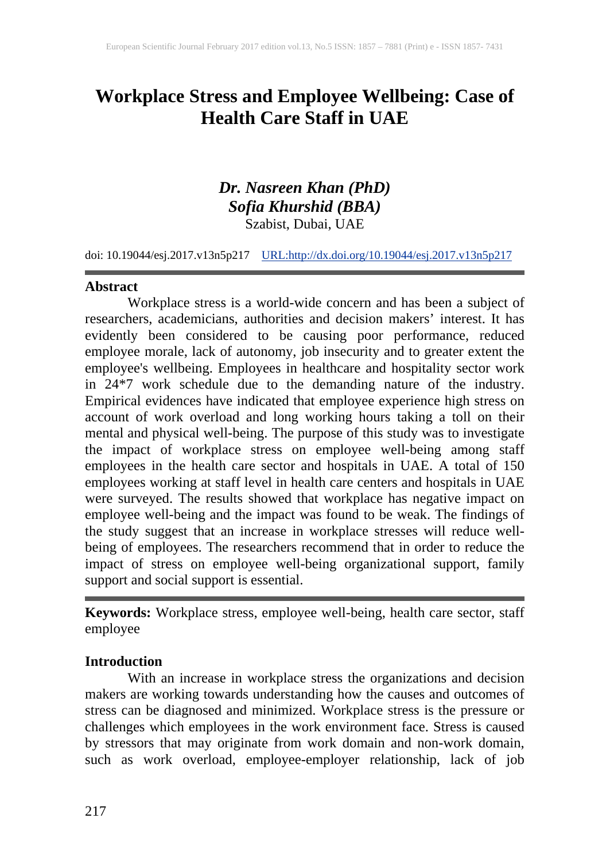# **Workplace Stress and Employee Wellbeing: Case of Health Care Staff in UAE**

## *Dr. Nasreen Khan (PhD) Sofia Khurshid (BBA)* Szabist, Dubai, UAE

doi: 10.19044/esj.2017.v13n5p217 [URL:http://dx.doi.org/10.19044/esj.2017.v13n5p217](http://dx.doi.org/10.19044/esj.2017.v13n5p217)

#### **Abstract**

Workplace stress is a world-wide concern and has been a subject of researchers, academicians, authorities and decision makers' interest. It has evidently been considered to be causing poor performance, reduced employee morale, lack of autonomy, job insecurity and to greater extent the employee's wellbeing. Employees in healthcare and hospitality sector work in 24\*7 work schedule due to the demanding nature of the industry. Empirical evidences have indicated that employee experience high stress on account of work overload and long working hours taking a toll on their mental and physical well-being. The purpose of this study was to investigate the impact of workplace stress on employee well-being among staff employees in the health care sector and hospitals in UAE. A total of 150 employees working at staff level in health care centers and hospitals in UAE were surveyed. The results showed that workplace has negative impact on employee well-being and the impact was found to be weak. The findings of the study suggest that an increase in workplace stresses will reduce wellbeing of employees. The researchers recommend that in order to reduce the impact of stress on employee well-being organizational support, family support and social support is essential.

**Keywords:** Workplace stress, employee well-being, health care sector, staff employee

#### **Introduction**

With an increase in workplace stress the organizations and decision makers are working towards understanding how the causes and outcomes of stress can be diagnosed and minimized. Workplace stress is the pressure or challenges which employees in the work environment face. Stress is caused by stressors that may originate from work domain and non-work domain, such as work overload, employee-employer relationship, lack of job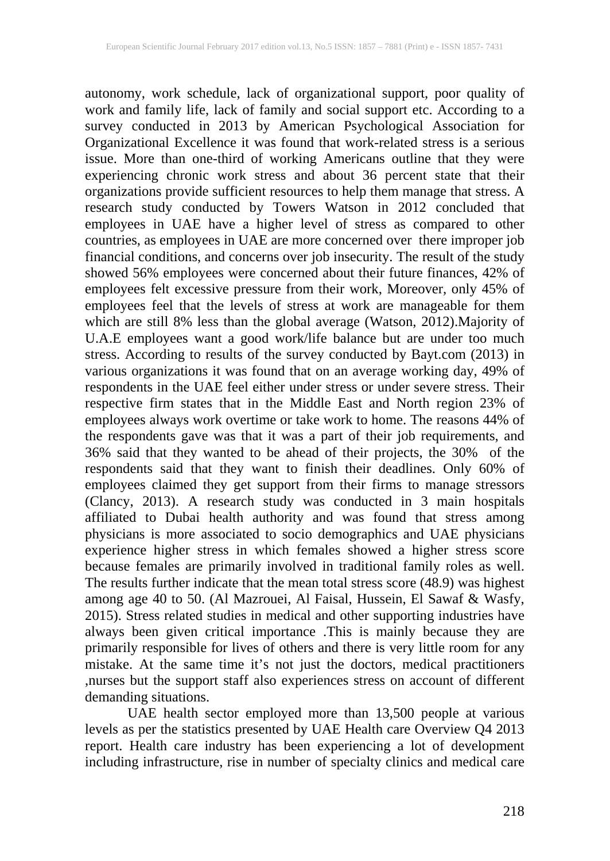autonomy, work schedule, lack of organizational support, poor quality of work and family life, lack of family and social support etc. According to a survey conducted in 2013 by American Psychological Association for Organizational Excellence it was found that work-related stress is a serious issue. More than one-third of working Americans outline that they were experiencing chronic work stress and about 36 percent state that their organizations provide sufficient resources to help them manage that stress. A research study conducted by Towers Watson in 2012 concluded that employees in UAE have a higher level of stress as compared to other countries, as employees in UAE are more concerned over there improper job financial conditions, and concerns over job insecurity. The result of the study showed 56% employees were concerned about their future finances, 42% of employees felt excessive pressure from their work, Moreover, only 45% of employees feel that the levels of stress at work are manageable for them which are still 8% less than the global average (Watson, 2012).Majority of U.A.E employees want a good work/life balance but are under too much stress. According to results of the survey conducted by Bayt.com (2013) in various organizations it was found that on an average working day, 49% of respondents in the UAE feel either under stress or under severe stress. Their respective firm states that in the Middle East and North region 23% of employees always work overtime or take work to home. The reasons 44% of the respondents gave was that it was a part of their job requirements, and 36% said that they wanted to be ahead of their projects, the 30% of the respondents said that they want to finish their deadlines. Only 60% of employees claimed they get support from their firms to manage stressors (Clancy, 2013). A research study was conducted in 3 main hospitals affiliated to Dubai health authority and was found that stress among physicians is more associated to socio demographics and UAE physicians experience higher stress in which females showed a higher stress score because females are primarily involved in traditional family roles as well. The results further indicate that the mean total stress score (48.9) was highest among age 40 to 50. (Al Mazrouei, Al Faisal, Hussein, El Sawaf & Wasfy, 2015). Stress related studies in medical and other supporting industries have always been given critical importance .This is mainly because they are primarily responsible for lives of others and there is very little room for any mistake. At the same time it's not just the doctors, medical practitioners ,nurses but the support staff also experiences stress on account of different demanding situations.

UAE health sector employed more than 13,500 people at various levels as per the statistics presented by UAE Health care Overview Q4 2013 report. Health care industry has been experiencing a lot of development including infrastructure, rise in number of specialty clinics and medical care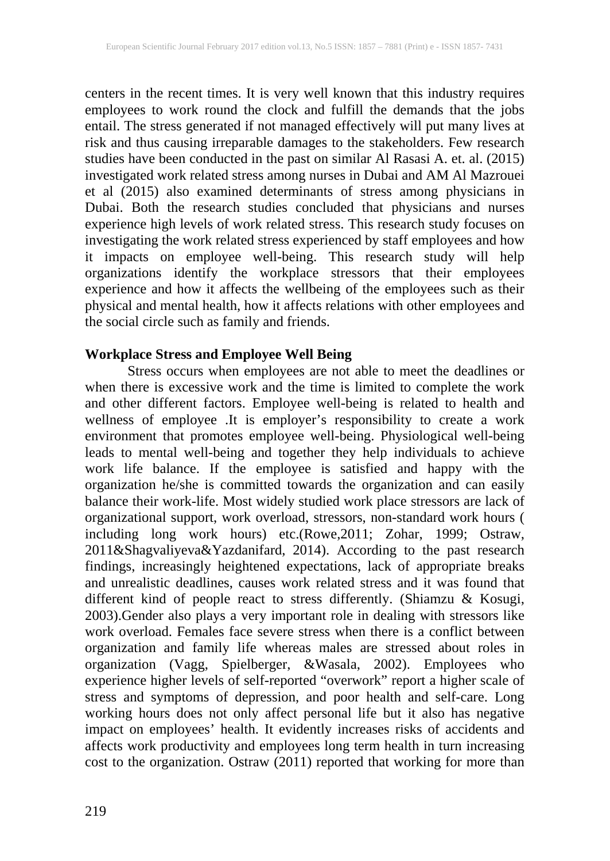centers in the recent times. It is very well known that this industry requires employees to work round the clock and fulfill the demands that the jobs entail. The stress generated if not managed effectively will put many lives at risk and thus causing irreparable damages to the stakeholders. Few research studies have been conducted in the past on similar Al Rasasi A. et. al. (2015) investigated work related stress among nurses in Dubai and AM Al Mazrouei et al (2015) also examined determinants of stress among physicians in Dubai. Both the research studies concluded that physicians and nurses experience high levels of work related stress. This research study focuses on investigating the work related stress experienced by staff employees and how it impacts on employee well-being. This research study will help organizations identify the workplace stressors that their employees experience and how it affects the wellbeing of the employees such as their physical and mental health, how it affects relations with other employees and the social circle such as family and friends.

#### **Workplace Stress and Employee Well Being**

Stress occurs when employees are not able to meet the deadlines or when there is excessive work and the time is limited to complete the work and other different factors. Employee well-being is related to health and wellness of employee .It is employer's responsibility to create a work environment that promotes employee well-being. Physiological well-being leads to mental well-being and together they help individuals to achieve work life balance. If the employee is satisfied and happy with the organization he/she is committed towards the organization and can easily balance their work-life. Most widely studied work place stressors are lack of organizational support, work overload, stressors, non-standard work hours ( including long work hours) etc.(Rowe,2011; Zohar, 1999; Ostraw, 2011&Shagvaliyeva&Yazdanifard, 2014). According to the past research findings, increasingly heightened expectations, lack of appropriate breaks and unrealistic deadlines, causes work related stress and it was found that different kind of people react to stress differently. (Shiamzu & Kosugi, 2003).Gender also plays a very important role in dealing with stressors like work overload. Females face severe stress when there is a conflict between organization and family life whereas males are stressed about roles in organization (Vagg, Spielberger, &Wasala, 2002). Employees who experience higher levels of self-reported "overwork" report a higher scale of stress and symptoms of depression, and poor health and self-care. Long working hours does not only affect personal life but it also has negative impact on employees' health. It evidently increases risks of accidents and affects work productivity and employees long term health in turn increasing cost to the organization. Ostraw (2011) reported that working for more than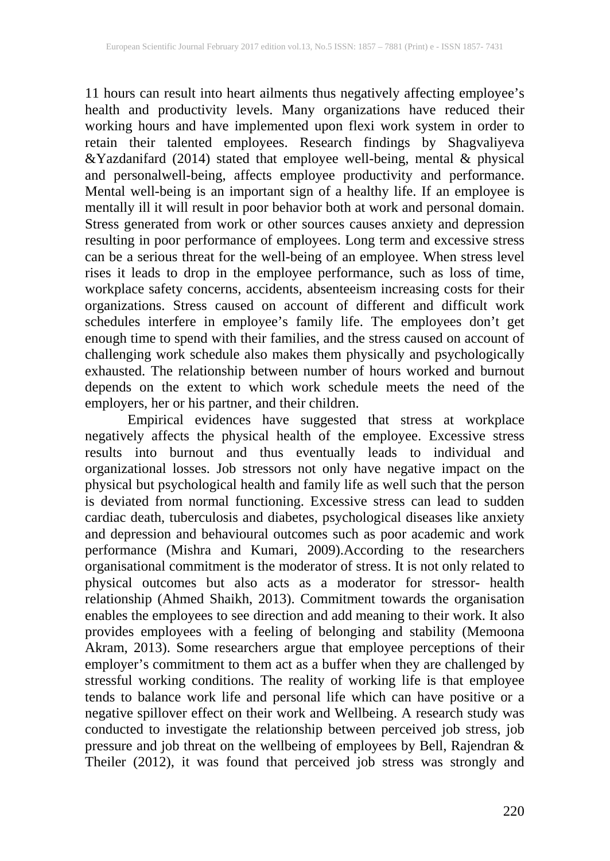11 hours can result into heart ailments thus negatively affecting employee's health and productivity levels. Many organizations have reduced their working hours and have implemented upon flexi work system in order to retain their talented employees. Research findings by Shagvaliyeva &Yazdanifard (2014) stated that employee well-being, mental & physical and personalwell-being, affects employee productivity and performance. Mental well-being is an important sign of a healthy life. If an employee is mentally ill it will result in poor behavior both at work and personal domain. Stress generated from work or other sources causes anxiety and depression resulting in poor performance of employees. Long term and excessive stress can be a serious threat for the well-being of an employee. When stress level rises it leads to drop in the employee performance, such as loss of time, workplace safety concerns, accidents, absenteeism increasing costs for their organizations. Stress caused on account of different and difficult work schedules interfere in employee's family life. The employees don't get enough time to spend with their families, and the stress caused on account of challenging work schedule also makes them physically and psychologically exhausted. The relationship between number of hours worked and burnout depends on the extent to which work schedule meets the need of the employers, her or his partner, and their children.

Empirical evidences have suggested that stress at workplace negatively affects the physical health of the employee. Excessive stress results into burnout and thus eventually leads to individual and organizational losses. Job stressors not only have negative impact on the physical but psychological health and family life as well such that the person is deviated from normal functioning. Excessive stress can lead to sudden cardiac death, tuberculosis and diabetes, psychological diseases like anxiety and depression and behavioural outcomes such as poor academic and work performance (Mishra and Kumari, 2009).According to the researchers organisational commitment is the moderator of stress. It is not only related to physical outcomes but also acts as a moderator for stressor- health relationship (Ahmed Shaikh, 2013). Commitment towards the organisation enables the employees to see direction and add meaning to their work. It also provides employees with a feeling of belonging and stability (Memoona Akram, 2013). Some researchers argue that employee perceptions of their employer's commitment to them act as a buffer when they are challenged by stressful working conditions. The reality of working life is that employee tends to balance work life and personal life which can have positive or a negative spillover effect on their work and Wellbeing. A research study was conducted to investigate the relationship between perceived job stress, job pressure and job threat on the wellbeing of employees by Bell, Rajendran & Theiler (2012), it was found that perceived job stress was strongly and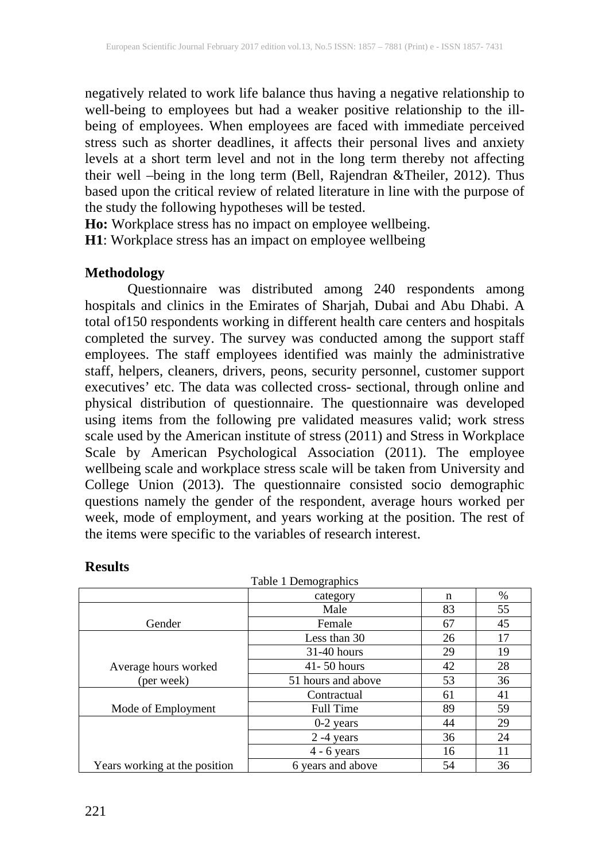negatively related to work life balance thus having a negative relationship to well-being to employees but had a weaker positive relationship to the illbeing of employees. When employees are faced with immediate perceived stress such as shorter deadlines, it affects their personal lives and anxiety levels at a short term level and not in the long term thereby not affecting their well –being in the long term (Bell, Rajendran &Theiler, 2012). Thus based upon the critical review of related literature in line with the purpose of the study the following hypotheses will be tested.

**Ho:** Workplace stress has no impact on employee wellbeing.

**H1**: Workplace stress has an impact on employee wellbeing

#### **Methodology**

Questionnaire was distributed among 240 respondents among hospitals and clinics in the Emirates of Sharjah, Dubai and Abu Dhabi. A total of150 respondents working in different health care centers and hospitals completed the survey. The survey was conducted among the support staff employees. The staff employees identified was mainly the administrative staff, helpers, cleaners, drivers, peons, security personnel, customer support executives' etc. The data was collected cross- sectional, through online and physical distribution of questionnaire. The questionnaire was developed using items from the following pre validated measures valid; work stress scale used by the American institute of stress (2011) and Stress in Workplace Scale by American Psychological Association (2011). The employee wellbeing scale and workplace stress scale will be taken from University and College Union (2013). The questionnaire consisted socio demographic questions namely the gender of the respondent, average hours worked per week, mode of employment, and years working at the position. The rest of the items were specific to the variables of research interest.

|                               | Table 1 Demographics  |    |      |
|-------------------------------|-----------------------|----|------|
|                               | category              | n  | $\%$ |
|                               | Male                  | 83 | 55   |
| Gender                        | Female                | 67 | 45   |
|                               | Less than 30          | 26 | 17   |
|                               | $31-40$ hours         | 29 | 19   |
| Average hours worked          | $41 - 50$ hours<br>42 |    | 28   |
| (per week)                    | 51 hours and above    | 53 | 36   |
|                               | Contractual           | 61 | 41   |
| Mode of Employment            | <b>Full Time</b>      | 89 | 59   |
|                               | $0-2$ years           | 44 | 29   |
|                               | $2 - 4$ years         | 36 | 24   |
|                               | $4 - 6$ years         | 16 | 11   |
| Years working at the position | 6 years and above     | 54 | 36   |

#### **Results**

221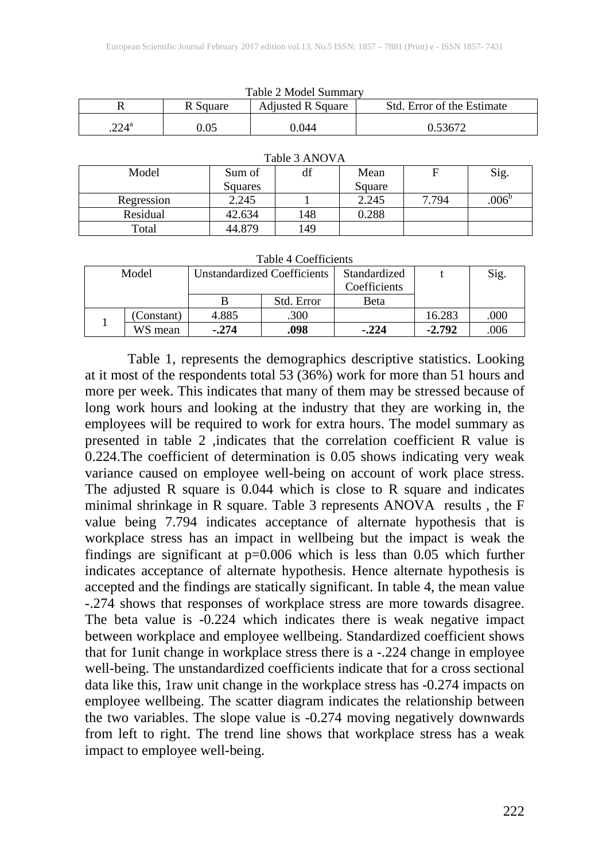| Table 2 Model Suillinary |          |                          |                            |  |
|--------------------------|----------|--------------------------|----------------------------|--|
|                          | R Square | <b>Adjusted R Square</b> | Std. Error of the Estimate |  |
| $224^{\rm a}$            | ).05     | 1.044                    | $0.5367^{\circ}$           |  |

| Table 3 ANOVA |         |     |        |       |                |
|---------------|---------|-----|--------|-------|----------------|
| Model         | Sum of  | df  | Mean   | F     | Sig.           |
|               | Squares |     | Square |       |                |
| Regression    | 2.245   |     | 2.245  | 7.794 | $.006^{\circ}$ |
| Residual      | 42.634  | 148 | 0.288  |       |                |
| Total         | 44.879  | 149 |        |       |                |

 $T_{c}$  1.1.  $2 M_{c}$  1.1.  $C_{c}$  summary

| Table 4 Coefficients |            |                                    |            |              |          |      |
|----------------------|------------|------------------------------------|------------|--------------|----------|------|
| Model                |            | <b>Unstandardized Coefficients</b> |            | Standardized |          | Sig. |
|                      |            |                                    |            | Coefficients |          |      |
|                      |            |                                    | Std. Error | Beta         |          |      |
|                      | (Constant) | 4.885                              | .300       |              | 16.283   | .000 |
|                      | WS mean    | $-.274$                            | .098       | $-.224$      | $-2.792$ | .006 |

Table 1, represents the demographics descriptive statistics. Looking at it most of the respondents total 53 (36%) work for more than 51 hours and more per week. This indicates that many of them may be stressed because of long work hours and looking at the industry that they are working in, the employees will be required to work for extra hours. The model summary as presented in table 2 ,indicates that the correlation coefficient R value is 0.224.The coefficient of determination is 0.05 shows indicating very weak variance caused on employee well-being on account of work place stress. The adjusted R square is 0.044 which is close to R square and indicates minimal shrinkage in R square. Table 3 represents ANOVA results , the F value being 7.794 indicates acceptance of alternate hypothesis that is workplace stress has an impact in wellbeing but the impact is weak the findings are significant at p=0.006 which is less than 0.05 which further indicates acceptance of alternate hypothesis. Hence alternate hypothesis is accepted and the findings are statically significant. In table 4, the mean value -.274 shows that responses of workplace stress are more towards disagree. The beta value is -0.224 which indicates there is weak negative impact between workplace and employee wellbeing. Standardized coefficient shows that for 1unit change in workplace stress there is a -.224 change in employee well-being. The unstandardized coefficients indicate that for a cross sectional data like this, 1raw unit change in the workplace stress has -0.274 impacts on employee wellbeing. The scatter diagram indicates the relationship between the two variables. The slope value is -0.274 moving negatively downwards from left to right. The trend line shows that workplace stress has a weak impact to employee well-being.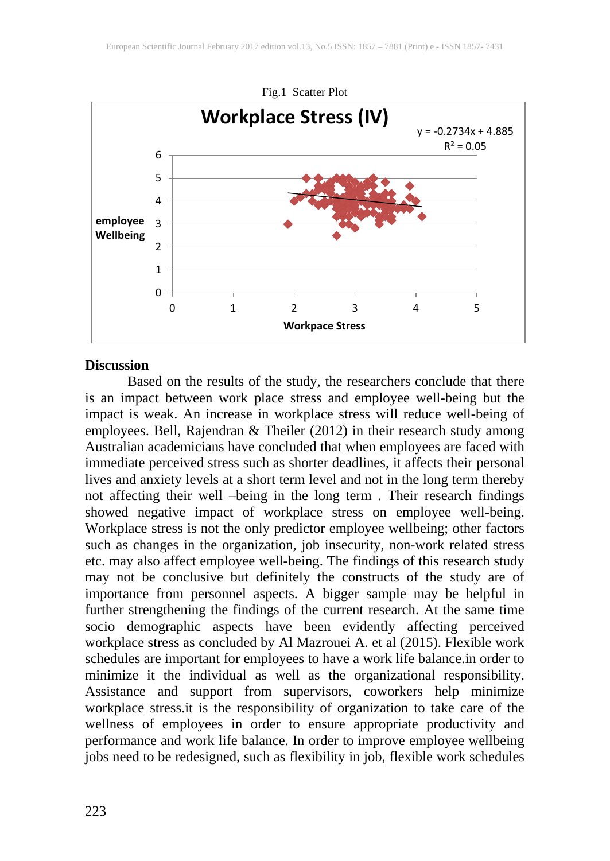

#### **Discussion**

Based on the results of the study, the researchers conclude that there is an impact between work place stress and employee well-being but the impact is weak. An increase in workplace stress will reduce well-being of employees. Bell, Rajendran & Theiler (2012) in their research study among Australian academicians have concluded that when employees are faced with immediate perceived stress such as shorter deadlines, it affects their personal lives and anxiety levels at a short term level and not in the long term thereby not affecting their well –being in the long term . Their research findings showed negative impact of workplace stress on employee well-being. Workplace stress is not the only predictor employee wellbeing; other factors such as changes in the organization, job insecurity, non-work related stress etc. may also affect employee well-being. The findings of this research study may not be conclusive but definitely the constructs of the study are of importance from personnel aspects. A bigger sample may be helpful in further strengthening the findings of the current research. At the same time socio demographic aspects have been evidently affecting perceived workplace stress as concluded by Al Mazrouei A. et al (2015). Flexible work schedules are important for employees to have a work life balance.in order to minimize it the individual as well as the organizational responsibility. Assistance and support from supervisors, coworkers help minimize workplace stress.it is the responsibility of organization to take care of the wellness of employees in order to ensure appropriate productivity and performance and work life balance. In order to improve employee wellbeing jobs need to be redesigned, such as flexibility in job, flexible work schedules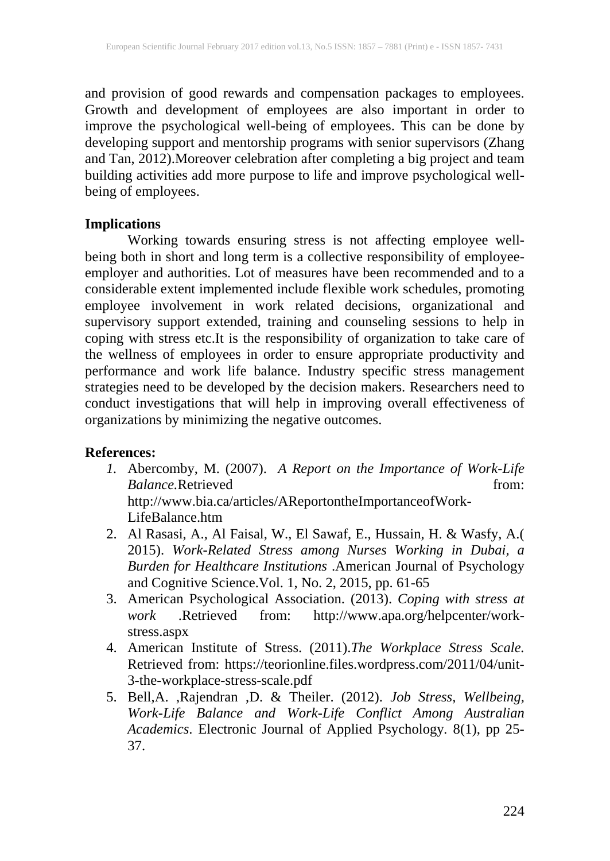and provision of good rewards and compensation packages to employees. Growth and development of employees are also important in order to improve the psychological well-being of employees. This can be done by developing support and mentorship programs with senior supervisors (Zhang and Tan, 2012).Moreover celebration after completing a big project and team building activities add more purpose to life and improve psychological wellbeing of employees.

### **Implications**

Working towards ensuring stress is not affecting employee wellbeing both in short and long term is a collective responsibility of employeeemployer and authorities. Lot of measures have been recommended and to a considerable extent implemented include flexible work schedules, promoting employee involvement in work related decisions, organizational and supervisory support extended, training and counseling sessions to help in coping with stress etc.It is the responsibility of organization to take care of the wellness of employees in order to ensure appropriate productivity and performance and work life balance. Industry specific stress management strategies need to be developed by the decision makers. Researchers need to conduct investigations that will help in improving overall effectiveness of organizations by minimizing the negative outcomes.

### **References:**

- *1.* Abercomby, M. (2007). *A Report on the Importance of Work-Life Balance*.Retrieved from: http://www.bia.ca/articles/AReportontheImportanceofWork-LifeBalance.htm
- 2. Al Rasasi, A., Al Faisal, W., El Sawaf, E., Hussain, H. & Wasfy, A.( 2015). *Work-Related Stress among Nurses Working in Dubai, a Burden for Healthcare Institutions* .American Journal of Psychology and Cognitive Science.Vol. 1, No. 2, 2015, pp. 61-65
- 3. American Psychological Association. (2013). *Coping with stress at work* .Retrieved from: [http://www.apa.org/helpcenter/work](http://www.apa.org/helpcenter/work-stress.aspx)[stress.aspx](http://www.apa.org/helpcenter/work-stress.aspx)
- 4. American Institute of Stress. (2011).*The Workplace Stress Scale.* Retrieved from: https://teorionline.files.wordpress.com/2011/04/unit-3-the-workplace-stress-scale.pdf
- 5. Bell,A. ,Rajendran ,D. & Theiler. (2012). *Job Stress, Wellbeing, Work-Life Balance and Work-Life Conflict Among Australian Academics*. Electronic Journal of Applied Psychology*.* 8(1), pp 25- 37.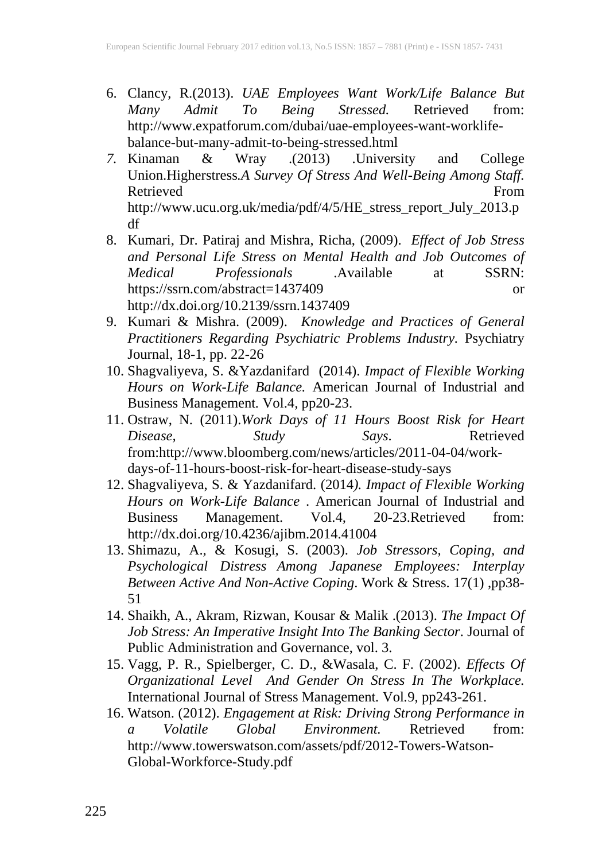- 6. Clancy, R.(2013). *UAE Employees Want Work/Life Balance But*  $Stressed.$ http://www.expatforum.com/dubai/uae-employees-want-worklifebalance-but-many-admit-to-being-stressed.html
- *7.* Kinaman & Wray .(2013) .University and College Union.Higherstress*.A Survey Of Stress And Well-Being Among Staff.* Retrieved [http://www.ucu.org.uk/media/pdf/4/5/HE\\_stress\\_report\\_July\\_2013.p](http://www.ucu.org.uk/media/pdf/4/5/HE_stress_report_July_2013.pdf) [df](http://www.ucu.org.uk/media/pdf/4/5/HE_stress_report_July_2013.pdf)
- 8. Kumari, Dr. Patiraj and Mishra, Richa, (2009). *Effect of Job Stress and Personal Life Stress on Mental Health and Job Outcomes of Medical Professionals* .Available at SSRN: https://ssrn.com/abstract=1437409 or http://dx.doi.org/10.2139/ssrn.1437409
- 9. Kumari & Mishra. (2009). *Knowledge and Practices of General Practitioners Regarding Psychiatric Problems Industry.* Psychiatry Journal, 18-1, pp. 22-26
- 10. Shagvaliyeva, S. &Yazdanifard (2014). *Impact of Flexible Working Hours on Work-Life Balance.* American Journal of Industrial and Business Management*.* Vol.4*,* pp20-23.
- 11. Ostraw, N. (2011).*Work Days of 11 Hours Boost Risk for Heart Disease, Study Says*. Retrieved from:http://www.bloomberg.com/news/articles/2011-04-04/workdays-of-11-hours-boost-risk-for-heart-disease-study-says
- 12. Shagvaliyeva, S. & Yazdanifard. (2014*). Impact of Flexible Working Hours on Work-Life Balance* . American Journal of Industrial and Business Management. Vol.4*,* 20-23.Retrieved from: <http://dx.doi.org/10.4236/ajibm.2014.41004>
- 13. Shimazu, A., & Kosugi, S. (2003). *Job Stressors, Coping, and Psychological Distress Among Japanese Employees: Interplay Between Active And Non-Active Coping*. Work & Stress. 17(1) ,pp38- 51
- 14. Shaikh, A., Akram, Rizwan, Kousar & Malik .(2013). *The Impact Of Job Stress: An Imperative Insight Into The Banking Sector*. Journal of Public Administration and Governance, vol. 3.
- 15. Vagg, P. R., Spielberger, C. D., &Wasala, C. F. (2002). *Effects Of Organizational Level And Gender On Stress In The Workplace.* International Journal of Stress Management*.* Vol*.*9, pp243-261.
- 16. Watson. (2012). *Engagement at Risk: Driving Strong Performance in a Volatile Global Environment.* Retrieved from: http://www.towerswatson.com/assets/pdf/2012-Towers-Watson-Global-Workforce-Study.pdf